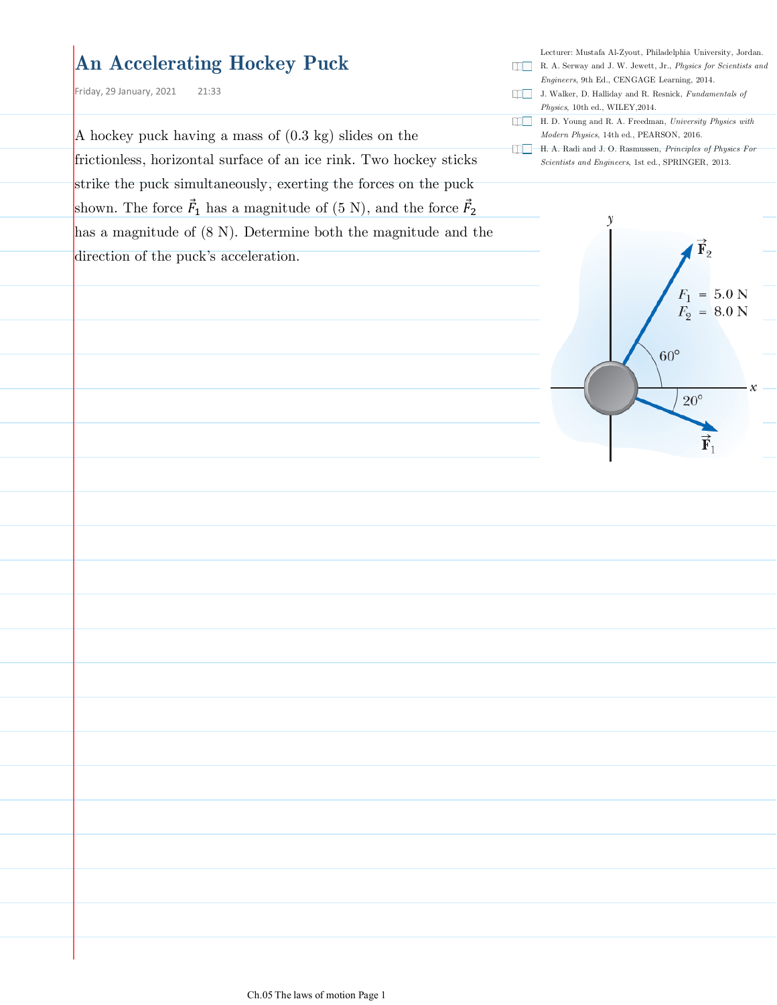### **An Accelerating Hockey Puck**

Friday, 29 January, 2021 21:33

A hockey puck having a mass of (0.3 kg) slides on the frictionless, horizontal surface of an ice rink. Two hockey sticks

strike the puck simultaneously, exerting the forces on the puck shown. The force  $\vec{F}_1$  has a magnitude of  $(5 \text{ N})$ , and the force  $\vec{F}_2$ has a magnitude of  $(8 \text{ N})$ . Determine both the magnitude and the direction of the puck's acceleration.

Lecturer: Mustafa Al-Zyout, Philadelphia University, Jordan.

- R. A. Serway and J. W. Jewett, Jr., *Physics for Scientists and Engineers*, 9th Ed., CENGAGE Learning, 2014.
- J. Walker, D. Halliday and R. Resnick, *Fundamentals of*
- *Physics*, 10th ed., WILEY,2014. H. D. Young and R. A. Freedman, *University Physics with*
- *Modern Physics*, 14th ed., PEARSON, 2016.
- H. A. Radi and J. O. Rasmussen, *Principles of Physics For Scientists and Engineers*, 1st ed., SPRINGER, 2013.

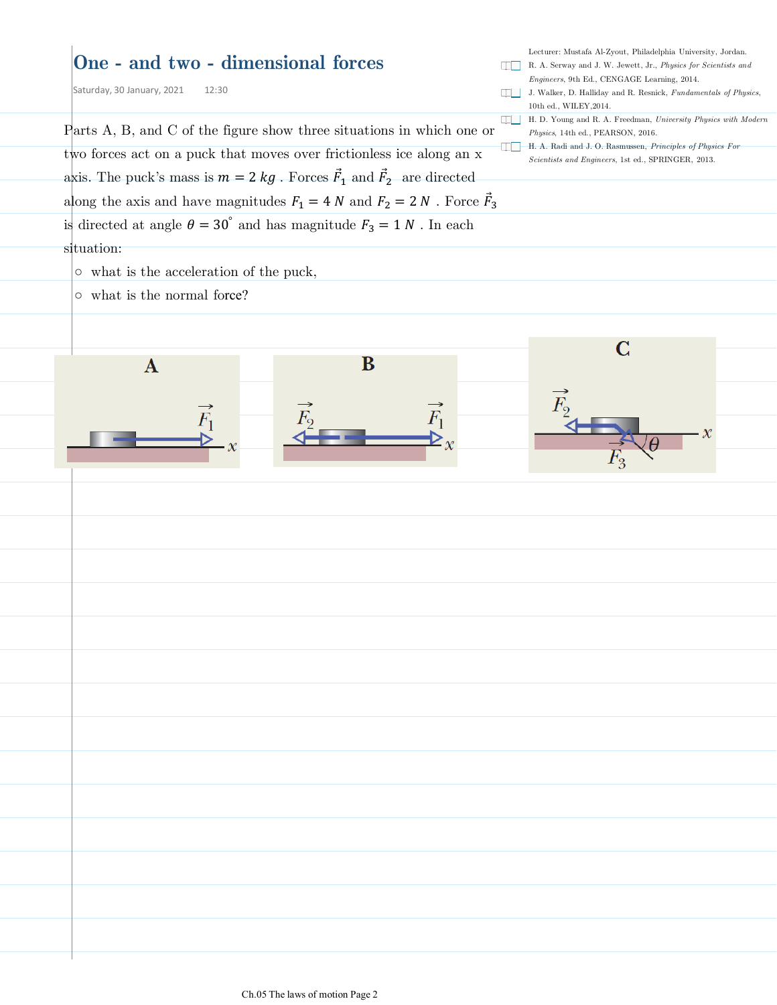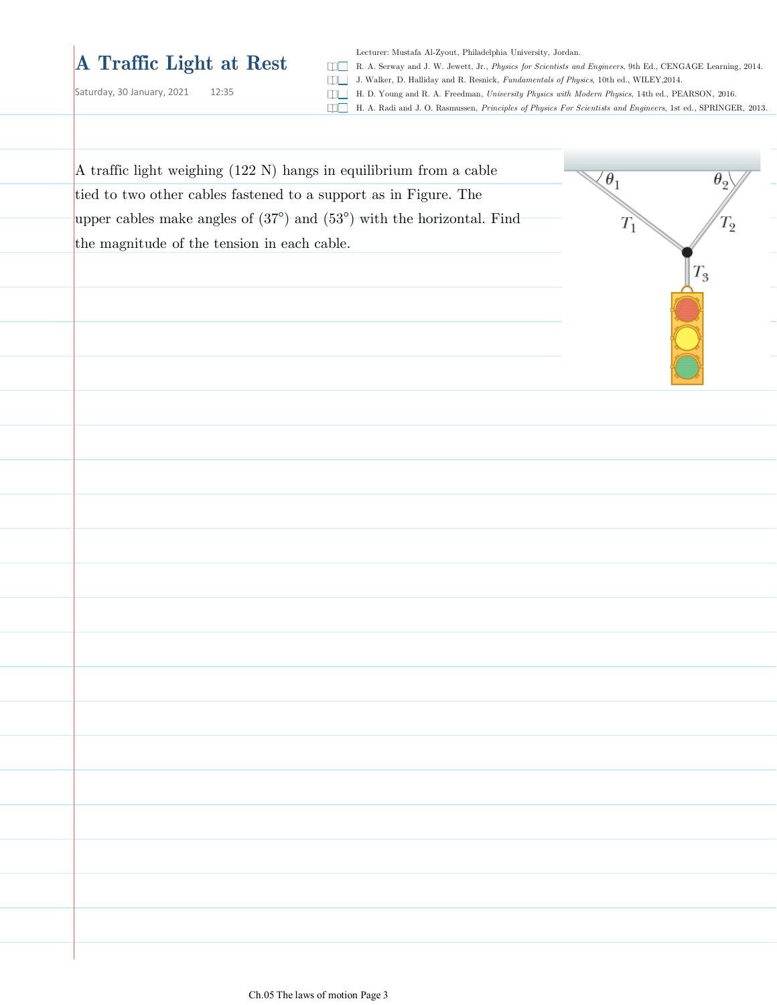# **A Traffic Light at Rest**

Saturday, 30 January, 2021 12:35

Lecturer: Mustafa Al-Zyout, Philadelphia University, Jordan.

R. A. Serway and J. W. Jewett, Jr., *Physics for Scientists and Engineers*, 9th Ed., CENGAGE Learning, 2014.

J. Walker, D. Halliday and R. Resnick, *Fundamentals of Physics*, 10th ed., WILEY,2014.

H. D. Young and R. A. Freedman, *University Physics with Modern Physics*, 14th ed., PEARSON, 2016.

H. A. Radi and J. O. Rasmussen, *Principles of Physics For Scientists and Engineers*, 1st ed., SPRINGER, 2013.

| A traffic light weighing (122 N) hangs in equilibrium from a cable                      | $\theta_1$<br>$\theta_{\rm o}$ |  |
|-----------------------------------------------------------------------------------------|--------------------------------|--|
| tied to two other cables fastened to a support as in Figure. The                        |                                |  |
| upper cables make angles of $(37^{\circ})$ and $(53^{\circ})$ with the horizontal. Find | $T_2$<br>$T_1$                 |  |
| the magnitude of the tension in each cable.                                             |                                |  |
|                                                                                         | $T_3$                          |  |
|                                                                                         |                                |  |
|                                                                                         |                                |  |
|                                                                                         |                                |  |
|                                                                                         |                                |  |
|                                                                                         |                                |  |
|                                                                                         |                                |  |
|                                                                                         |                                |  |
|                                                                                         |                                |  |
|                                                                                         |                                |  |
|                                                                                         |                                |  |
|                                                                                         |                                |  |
|                                                                                         |                                |  |
|                                                                                         |                                |  |
|                                                                                         |                                |  |
|                                                                                         |                                |  |
|                                                                                         |                                |  |
|                                                                                         |                                |  |
|                                                                                         |                                |  |
|                                                                                         |                                |  |
|                                                                                         |                                |  |
|                                                                                         |                                |  |
|                                                                                         |                                |  |
|                                                                                         |                                |  |
|                                                                                         |                                |  |
|                                                                                         |                                |  |
|                                                                                         |                                |  |
|                                                                                         |                                |  |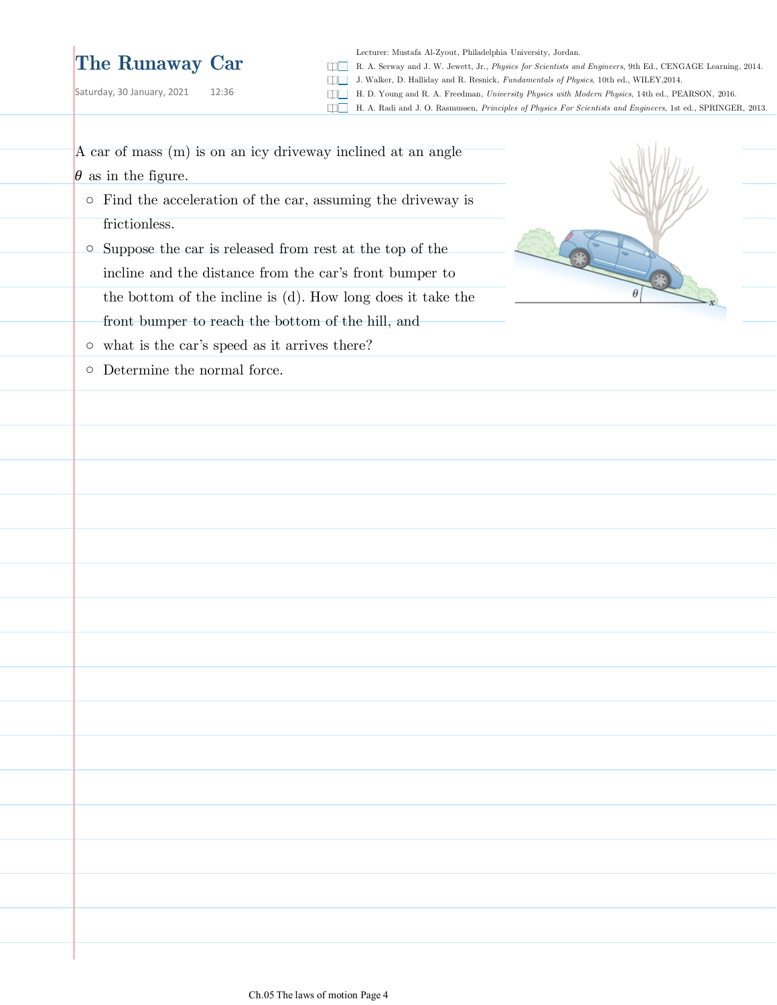## **The Runaway Car**

A car of mass (m) is on an icy driveway inclined at an angle

Saturday, 30 January, 2021 12:36

Lecturer: Mustafa Al-Zyout, Philadelphia University, Jordan.

R. A. Serway and J. W. Jewett, Jr., *Physics for Scientists and Engineers*, 9th Ed., CENGAGE Learning, 2014.

J. Walker, D. Halliday and R. Resnick, *Fundamentals of Physics*, 10th ed., WILEY,2014.

H. D. Young and R. A. Freedman, *University Physics with Modern Physics*, 14th ed., PEARSON, 2016.

H. A. Radi and J. O. Rasmussen, *Principles of Physics For Scientists and Engineers*, 1st ed., SPRINGER, 2013.

 $\theta$  as in the figure. ○ Find the acceleration of the car, assuming the driveway is frictionless.  $\circ$  Suppose the car is released from rest at the top of the incline and the distance from the car's front bumper to the bottom of the incline is (d). How long does it take the front bumper to reach the bottom of the hill, and  $\circ$  what is the car's speed as it arrives there? ○ Determine the normal force.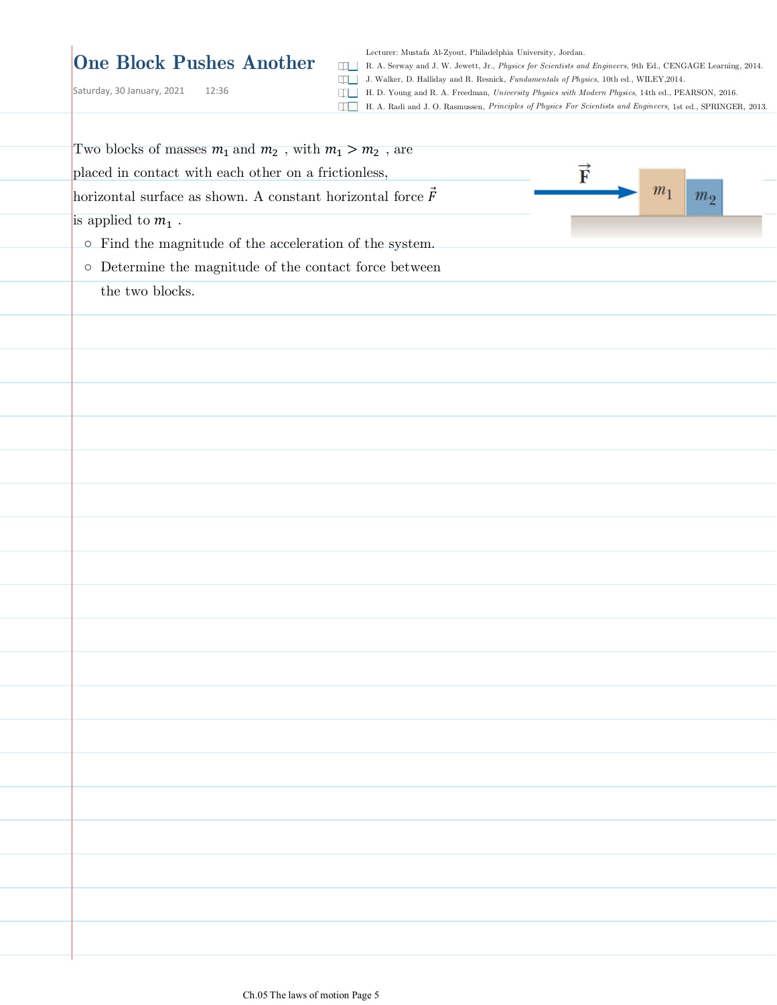#### **One Block Pushes Another**

Lecturer: Mustafa Al-Zyout, Philadelphia University, Jordan.

R. A. Serway and J. W. Jewett, Jr., *Physics for Scientists and Engineers*, 9th Ed., CENGAGE Learning, 2014.

Saturday, 30 January, 2021 12:36

J. Walker, D. Halliday and R. Resnick, *Fundamentals of Physics*, 10th ed., WILEY,2014.

H. D. Young and R. A. Freedman, *University Physics with Modern Physics*, 14th ed., PEARSON, 2016. H. A. Radi and J. O. Rasmussen, *Principles of Physics For Scientists and Engineers*, 1st ed., SPRINGER, 2013.

| Two blocks of masses $m_1$ and $m_2$ , with $m_1 > m_2$ , are                                          |
|--------------------------------------------------------------------------------------------------------|
| $\overrightarrow{\textbf{F}}$<br>placed in contact with each other on a frictionless,                  |
| m <sub>1</sub><br>horizontal surface as shown. A constant horizontal force $\vec{F}$<br>m <sub>2</sub> |
| is applied to $m_1$ .                                                                                  |
| $\circ~$ Find the magnitude of the acceleration of the system.                                         |
| $\circ~$ Determine the magnitude of the contact force between                                          |
| the two blocks.                                                                                        |
|                                                                                                        |
|                                                                                                        |
|                                                                                                        |
|                                                                                                        |
|                                                                                                        |
|                                                                                                        |
|                                                                                                        |
|                                                                                                        |
|                                                                                                        |
|                                                                                                        |
|                                                                                                        |
|                                                                                                        |
|                                                                                                        |
|                                                                                                        |
|                                                                                                        |
|                                                                                                        |
|                                                                                                        |
|                                                                                                        |
|                                                                                                        |
|                                                                                                        |
|                                                                                                        |
|                                                                                                        |
|                                                                                                        |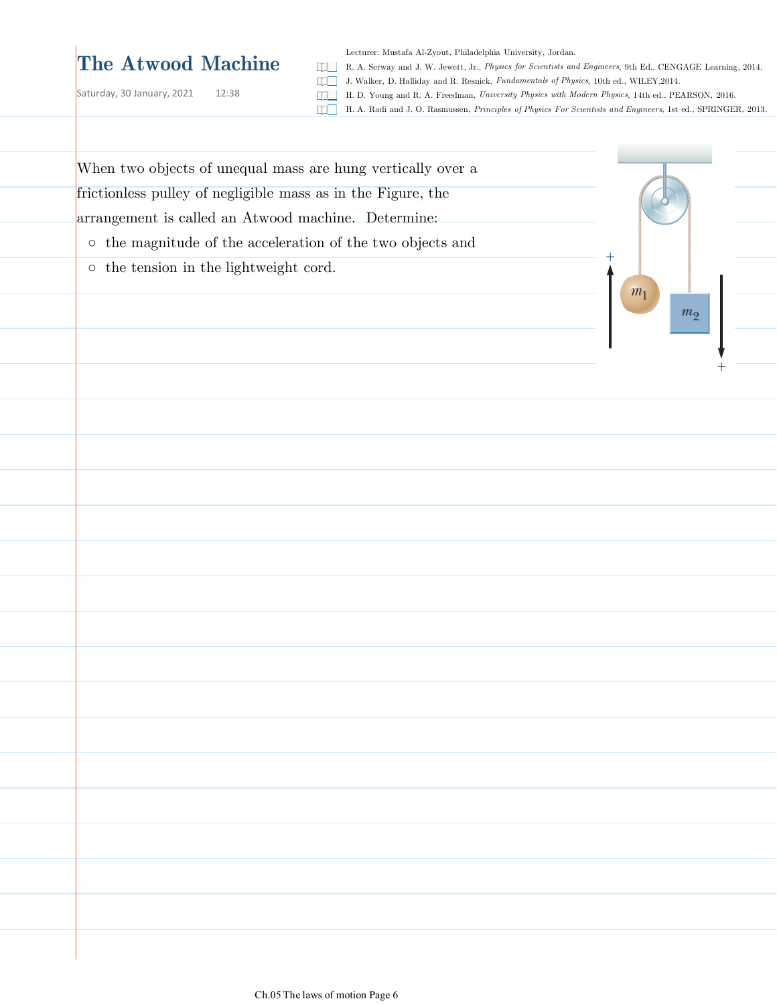## **The Atwood Machine**

Saturday, 30 January, 2021 12:38

Lecturer: Mustafa Al-Zyout, Philadelphia University, Jordan.

R. A. Serway and J. W. Jewett, Jr., *Physics for Scientists and Engineers*, 9th Ed., CENGAGE Learning, 2014.

- J. Walker, D. Halliday and R. Resnick, *Fundamentals of Physics*, 10th ed., WILEY,2014.
- H. D. Young and R. A. Freedman, *University Physics with Modern Physics*, 14th ed., PEARSON, 2016.
- H. A. Radi and J. O. Rasmussen, *Principles of Physics For Scientists and Engineers*, 1st ed., SPRINGER, 2013.

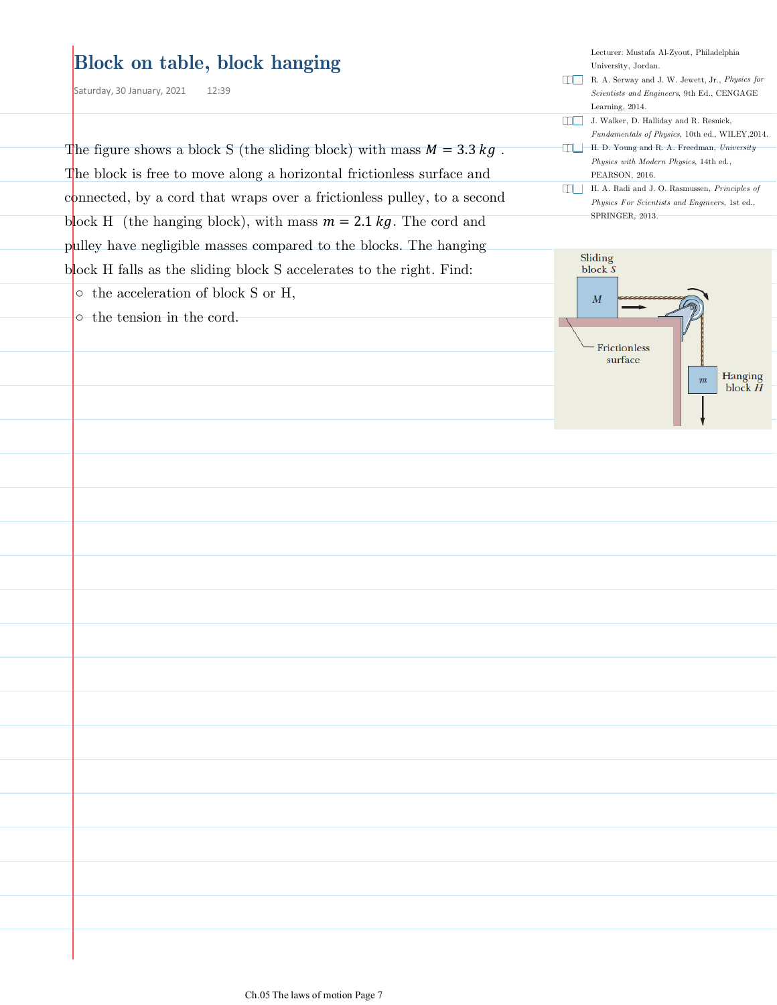| <b>Block on table, block hanging</b><br>Saturday, 30 January, 2021<br>12:39                                                                                                                                            | Lecturer: Mustafa Al-Zyout, Philadelphia<br>University, Jordan.<br>R. A. Serway and J. W. Jewett, Jr., Physics for<br>Scientists and Engineers, 9th Ed., CENGAGE<br>Learning, 2014. |
|------------------------------------------------------------------------------------------------------------------------------------------------------------------------------------------------------------------------|-------------------------------------------------------------------------------------------------------------------------------------------------------------------------------------|
| The figure shows a block S (the sliding block) with mass $M = 3.3 kg$ .                                                                                                                                                | J. Walker, D. Halliday and R. Resnick,<br>Fundamentals of Physics, 10th ed., WILEY, 2014.<br>H.D. Young and R. A. Freedman, University<br>Physics with Modern Physics, 14th ed.,    |
| The block is free to move along a horizontal frictionless surface and<br>connected, by a cord that wraps over a frictionless pulley, to a second<br>block H (the hanging block), with mass $m = 2.1 kg$ . The cord and | PEARSON, 2016.<br>H. A. Radi and J. O. Rasmussen, Principles of<br>Physics For Scientists and Engineers, 1st ed.,<br>SPRINGER, 2013.                                                |
| pulley have negligible masses compared to the blocks. The hanging<br>block H falls as the sliding block S accelerates to the right. Find:<br>$\circ$ the acceleration of block S or H,                                 | Sliding<br>block S                                                                                                                                                                  |
| o the tension in the cord.                                                                                                                                                                                             | $\boldsymbol{M}$<br>Frictionless<br>surface<br>Hanging<br>$\boldsymbol{m}$<br>block $H$                                                                                             |
|                                                                                                                                                                                                                        |                                                                                                                                                                                     |
|                                                                                                                                                                                                                        |                                                                                                                                                                                     |
|                                                                                                                                                                                                                        |                                                                                                                                                                                     |
|                                                                                                                                                                                                                        |                                                                                                                                                                                     |
|                                                                                                                                                                                                                        |                                                                                                                                                                                     |
|                                                                                                                                                                                                                        |                                                                                                                                                                                     |
|                                                                                                                                                                                                                        |                                                                                                                                                                                     |
|                                                                                                                                                                                                                        |                                                                                                                                                                                     |
|                                                                                                                                                                                                                        |                                                                                                                                                                                     |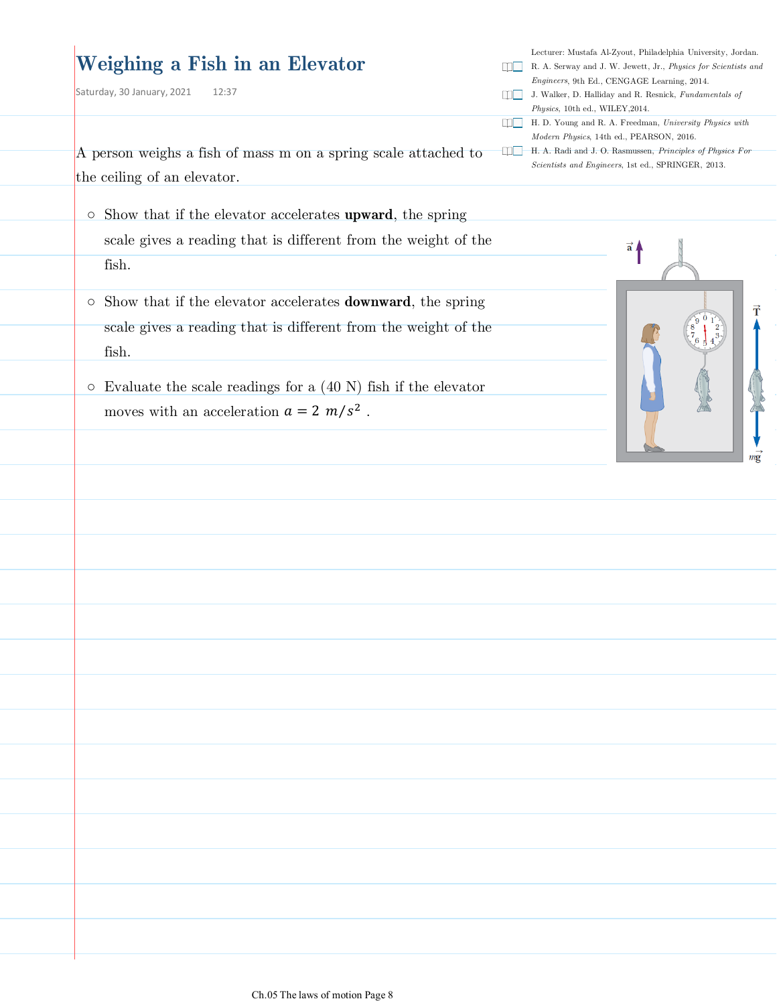## **Weighing a Fish in an Elevator**

Saturday, 30 January, 2021 12:37

Lecturer: Mustafa Al-Zyout, Philadelphia University, Jordan.

- R. A. Serway and J. W. Jewett, Jr., *Physics for Scientists and Engineers*, 9th Ed., CENGAGE Learning, 2014.
- J. Walker, D. Halliday and R. Resnick, *Fundamentals of Physics*, 10th ed., WILEY,2014.
- H. D. Young and R. A. Freedman, *University Physics with Modern Physics*, 14th ed., PEARSON, 2016.
- H. A. Radi and J. O. Rasmussen, *Principles of Physics For Scientists and Engineers*, 1st ed., SPRINGER, 2013.

A person weighs a fish of mass m on a spring scale attached to the ceiling of an elevator.

- o Show that if the elevator accelerates upward, the spring scale gives a reading that is different from the weight of the fish.
- o Show that if the elevator accelerates **downward**, the spring scale gives a reading that is different from the weight of the fish.
- $\circ$  Evaluate the scale readings for a  $(40 \text{ N})$  fish if the elevator moves with an acceleration  $a = 2 m/s^2$ .

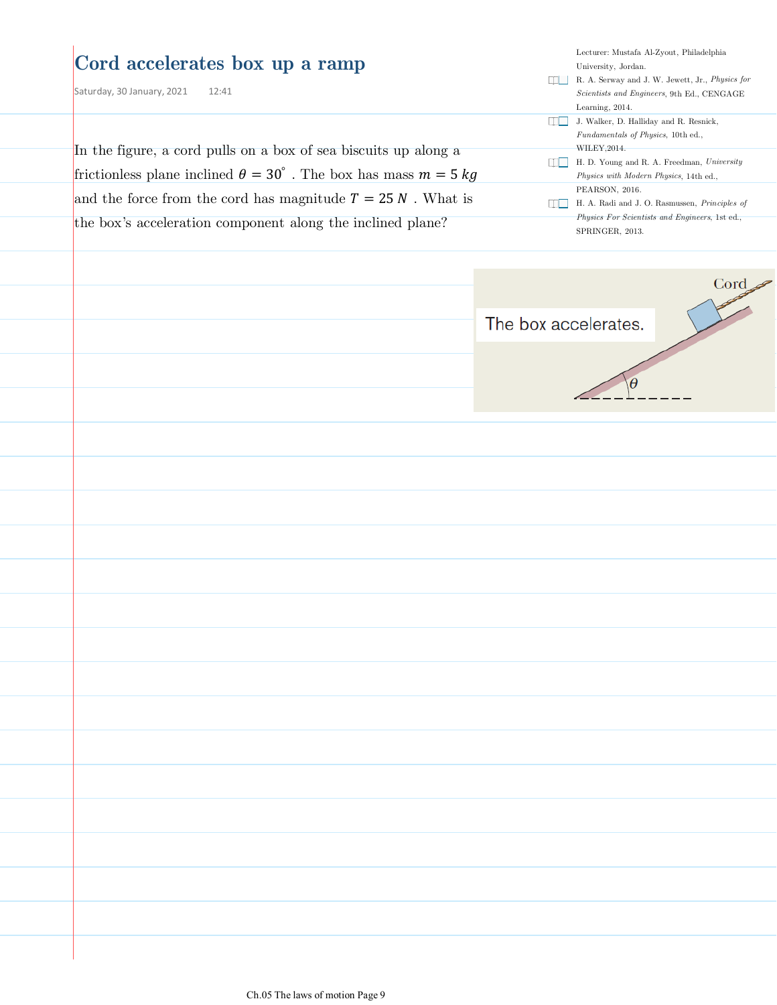| Cord accelerates box up a ramp<br>Saturday, 30 January, 2021<br>12:41<br>In the figure, a cord pulls on a box of sea biscuits up along a<br>frictionless plane inclined $\theta = 30^{\circ}$ . The box has mass $m = 5 kg$<br>and the force from the cord has magnitude $T = 25 N$ . What is<br>the box's acceleration component along the inclined plane? | Lecturer: Mustafa Al-Zyout, Philadelphia<br>University, Jordan.<br>R. A. Serway and J. W. Jewett, Jr., Physics for<br>Scientists and Engineers, 9th Ed., CENGAGE<br>Learning, 2014.<br><b>IDE</b> J. Walker, D. Halliday and R. Resnick,<br>Fundamentals of Physics, 10th ed.,<br>WILEY, 2014.<br>H. D. Young and R. A. Freedman, University<br>$\Box$<br>Physics with Modern Physics, 14th ed.,<br>PEARSON, 2016.<br>H. A. Radi and J. O. Rasmussen, Principles of<br>n Tim<br>Physics For Scientists and Engineers, 1st ed.,<br>SPRINGER, 2013. |
|-------------------------------------------------------------------------------------------------------------------------------------------------------------------------------------------------------------------------------------------------------------------------------------------------------------------------------------------------------------|---------------------------------------------------------------------------------------------------------------------------------------------------------------------------------------------------------------------------------------------------------------------------------------------------------------------------------------------------------------------------------------------------------------------------------------------------------------------------------------------------------------------------------------------------|
|                                                                                                                                                                                                                                                                                                                                                             | Cord<br>The box accelerates.                                                                                                                                                                                                                                                                                                                                                                                                                                                                                                                      |
|                                                                                                                                                                                                                                                                                                                                                             |                                                                                                                                                                                                                                                                                                                                                                                                                                                                                                                                                   |
|                                                                                                                                                                                                                                                                                                                                                             |                                                                                                                                                                                                                                                                                                                                                                                                                                                                                                                                                   |
|                                                                                                                                                                                                                                                                                                                                                             |                                                                                                                                                                                                                                                                                                                                                                                                                                                                                                                                                   |
|                                                                                                                                                                                                                                                                                                                                                             |                                                                                                                                                                                                                                                                                                                                                                                                                                                                                                                                                   |
|                                                                                                                                                                                                                                                                                                                                                             |                                                                                                                                                                                                                                                                                                                                                                                                                                                                                                                                                   |